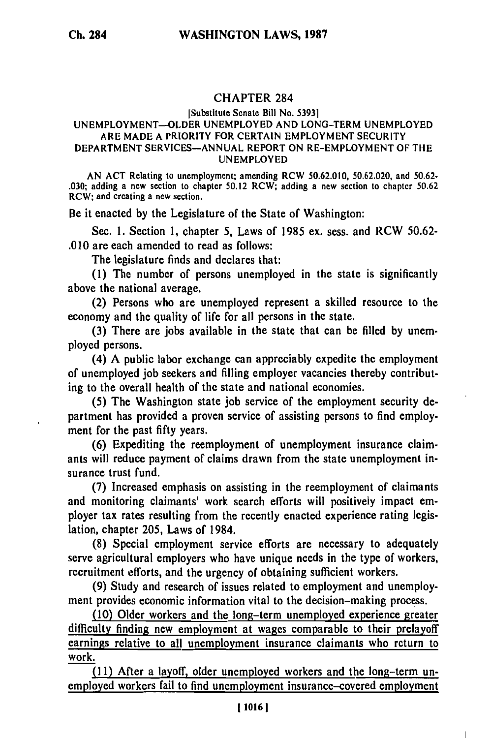## CHAPTER 284

## [Substitute Senate Bill No. **5393] UNEMPLOYMENT-OLDER UNEMPLOYED AND** LONG-TERM **UNEMPLOYED** ARE **MADE A** PRIORITY FOR **CERTAIN** EMPLOYMENT SECURITY DEPARTMENT **SERVICES-ANNUAL** REPORT **ON** RE-EMPLOYMENT OF THE **UNEMPLOYED**

**AN ACT** Relating to unemployment; amending RCW **50.62.010, 50.62.020,** and **50.62- .030;** adding a new section to chapter **50.12** RCW; adding a new section to chapter **50.62** RCW; and creating a new section.

Be it enacted **by** the Legislature of the State of Washington:

Sec. **1.** Section **1,** chapter **5,** Laws of **1985** ex. sess. and RCW **50.62- .010** are each amended to read as follows:

The legislature finds and declares that:

**(1)** The number of persons unemployed in the state is significantly above the national average.

(2) Persons who are unemployed represent a skilled resource to the economy and the quality of life for all persons in the state.

**(3)** There are jobs available in the state that can be filled **by** unemployed persons.

(4) **A** public labor exchange can appreciably expedite the employment of unemployed **job** seekers and filling employer vacancies thereby contributing to the overall health of the state and national economies.

**(5)** The Washington state **job** service of the employment security department has provided a proven service of assisting persons to find employment for the past **fifty** years.

**(6)** Expediting the reemployment of unemployment insurance claimants will reduce payment of claims drawn from the state unemployment insurance trust fund.

**(7)** Increased emphasis on assisting in the reemployment of claimants and monitoring claimants' work search efforts will positively impact employer tax rates resulting from the recently enacted experience rating legislation, chapter **205,** Laws of 1984.

**(8)** Special employment service efforts are necessary to adequately serve agricultural employers who have unique needs in the type of workers, recruitment efforts, and the urgency of obtaining sufficient workers.

**(9)** Study and research of issues related to employment and unemployment provides economic information vital to the decision-making process.

**(10)** Older workers and the long-term unemployed experience greater difficulty finding new employment at wages comparable to their prelayoff earnings relative to all unemployment insurance claimants who return to work.

**(11)** After a layoff, older unemployed workers and the long-term unemployed workers fail to find unemployment insurance-covered employment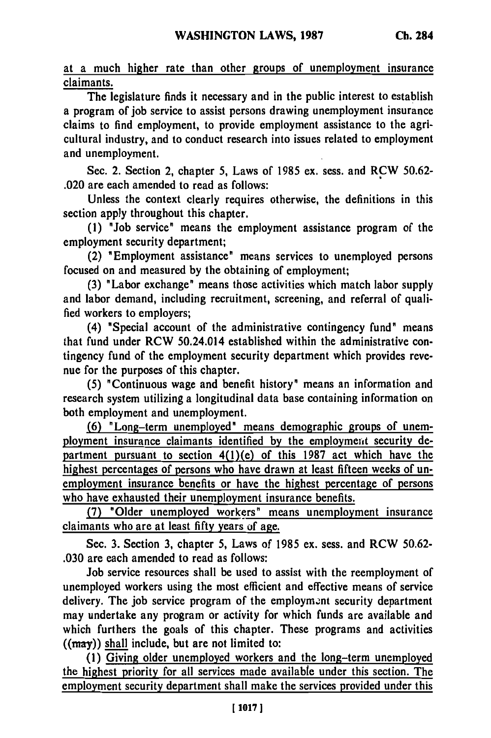at a much higher rate than other groups of unemployment insurance claimants.

The legislature finds it necessary and in the public interest to establish a program of **job** service to assist persons drawing unemployment insurance claims to find employment, to provide employment assistance to the agricultural industry, and to conduct research into issues related to employment and unemployment.

Sec. 2. Section 2, chapter **5,** Laws of **1985** ex. sess. and RCW **50.62-** .020 are each amended to read as follows:

Unless the context clearly requires otherwise, the definitions in this section apply throughout this chapter.

**(1)** "Job service" means the employment assistance program of the employment security department;

(2) "Employment assistance" means services to unemployed persons focused on and measured **by** the obtaining of employment;

(3) "Labor exchange" means those activities which match labor supply and labor demand, including recruitment, screening, and referral of qualified workers to employers;

(4) "Special account of the administrative contingency fund" means that fund under RCW 50.24.014 established within the administrative contingency fund of the employment security department which provides revenue for the purposes of this chapter.

**(5)** "Continuous wage and benefit history" means an information and research system utilizing a longitudinal data base containing information on both employment and unemployment.

**(6)** "Long-term unemployed" means demographic groups of unemployment insurance claimants identified by the employment security department pursuant to section 4(l)(e) of this **1987** act which have the highest percentages of persons who have drawn at least fifteen weeks of unemployment insurance benefits or have the highest percentage of persons who have exhausted their unemployment insurance benefits.

**(7)** "Older unemployed workers" means unemployment insurance claimants who are at least **fifty** years **of** age.

Sec. **3.** Section **3,** chapter **5,** Laws of **1985** ex. sess. and RCW **50.62- .030** are each amended to read as follows:

Job service resources shall be used to assist with the reemployment of unemployed workers using the most efficient and effective means of service delivery. The **job** service program of the employment security department may undertake any program or activity for which funds are available and which furthers the goals of this chapter. These programs and activities ((may)) shall include, but are not limited to:

**(1)** Giving older unemployed workers and the long-term unemployed the highest priority for all services made available under this section. The employment security department shall make the services provided under this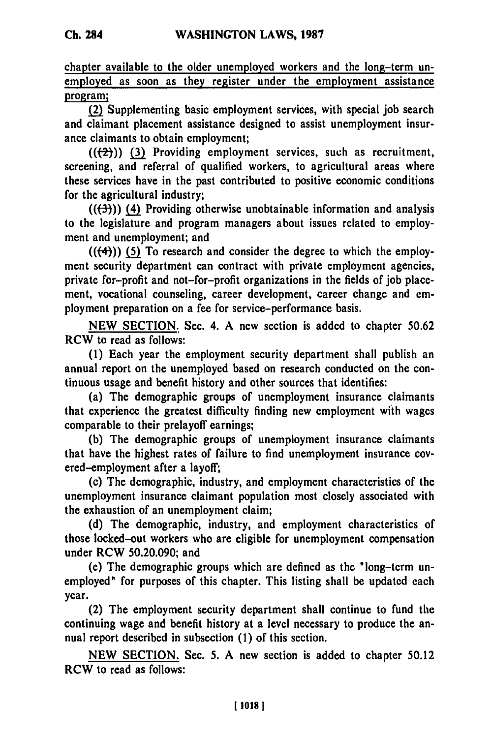chapter available to the older unemployed workers and the long-term unemployed as soon as they register under the employment assistance program;

**(2)** Supplementing basic employment services, with special **job** search and claimant placement assistance designed to assist unemployment insurance claimants to obtain employment;

 $((2))$  (3) Providing employment services, such as recruitment, screening, and referral of qualified workers, to agricultural areas where these services have in the past contributed to positive economic conditions for the agricultural industry;

**(((3))) (4)** Providing otherwise unobtainable information and analysis to the legislature and program managers about issues related to employment and unemployment; and

 $((\langle 4 \rangle) )$  (5) To research and consider the degree to which the employ**ment** security department can contract with private employment agencies, private for-profit and not-for-profit organizations in the fields of **job** place**ment,** vocational counseling, career development, career change and employment preparation on a fee for service-performance basis.

**NEW SECTION.** Sec. 4. A new section is added to chapter **50.62** RCW to read as follows:

**(1)** Each year the employment security department shall publish an annual report on the unemployed based on research conducted on the continuous usage and benefit history and other sources that identifies:

(a) The demographic groups of unemployment insurance claimants that experience the greatest difficulty finding new employment with wages comparable to their prelayoff earnings;

**(b)** The demographic groups of unemployment insurance claimants that have the highest rates of failure to find unemployment insurance covered-employment after a layoff;

(c) The demographic, industry, and employment characteristics of the unemployment insurance claimant population most closely associated with the exhaustion of an unemployment claim;

**(d)** The demographic, industry, and employment characteristics of those locked-out workers who are eligible for unemployment compensation under RCW **50.20.090;** and

(e) The demographic groups which are defined as the "long-term unemployed" for purposes of this chapter. This listing shall be updated each year.

(2) The employment security department shall continue to fund the continuing wage and benefit history at a level necessary to produce the annual report described in subsection **(1)** of this section.

**NEW SECTION.** Sec. **5. A** new section is added to chapter **50.12** RCW to read as follows: